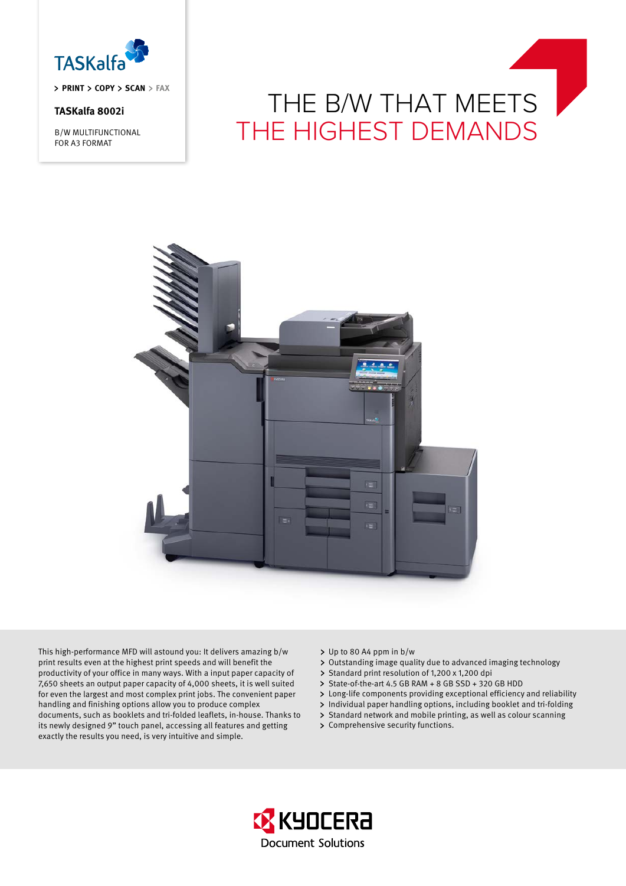

**priNT Copy Scan fax**

# **TASKalfa 8002i**

B/W MULTIFUNCTIONAL FOR A3 FORMAT

# THE B/W THAT MEETS<br>THE HIGHEST DEMANDS



This high-performance MFD will astound you: It delivers amazing b/w print results even at the highest print speeds and will benefit the productivity of your office in many ways. With a input paper capacity of 7,650 sheets an output paper capacity of 4,000 sheets, it is well suited for even the largest and most complex print jobs. The convenient paper handling and finishing options allow you to produce complex documents, such as booklets and tri-folded leaflets, in-house. Thanks to its newly designed 9" touch panel, accessing all features and getting exactly the results you need, is very intuitive and simple.

- Up to 80 A4 ppm in b/w
- Outstanding image quality due to advanced imaging technology
- $\mathbf{r}$ Standard print resolution of 1,200 x 1,200 dpi
- > State-of-the-art 4.5 GB RAM + 8 GB SSD + 320 GB HDD
- Long-life components providing exceptional efficiency and reliability
- > Individual paper handling options, including booklet and tri-folding
- > Standard network and mobile printing, as well as colour scanning
- > Comprehensive security functions.